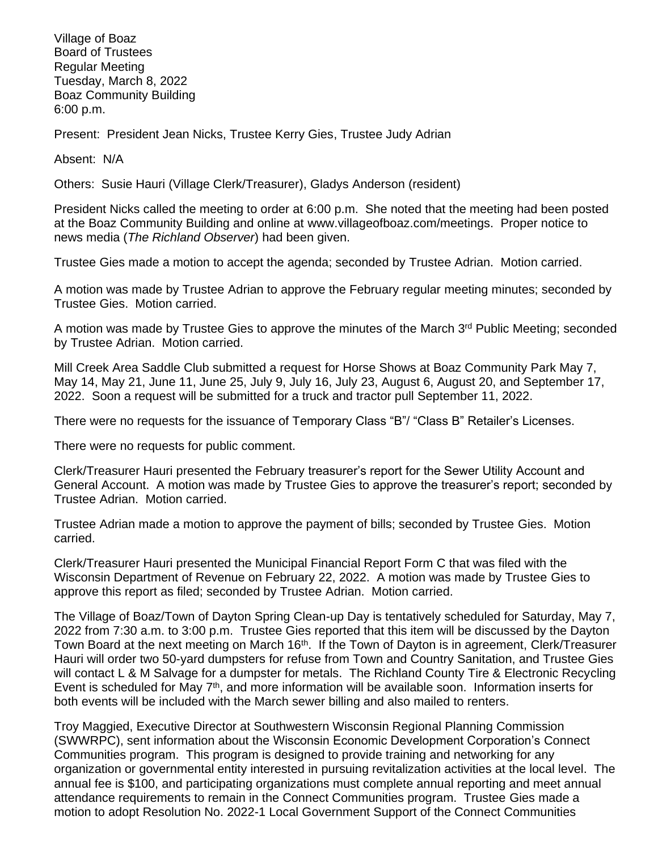Village of Boaz Board of Trustees Regular Meeting Tuesday, March 8, 2022 Boaz Community Building 6:00 p.m.

Present: President Jean Nicks, Trustee Kerry Gies, Trustee Judy Adrian

Absent: N/A

Others: Susie Hauri (Village Clerk/Treasurer), Gladys Anderson (resident)

President Nicks called the meeting to order at 6:00 p.m. She noted that the meeting had been posted at the Boaz Community Building and online at [www.villageofboaz.com/meetings.](http://www.villageofboaz.com/meetings) Proper notice to news media (*The Richland Observer*) had been given.

Trustee Gies made a motion to accept the agenda; seconded by Trustee Adrian. Motion carried.

A motion was made by Trustee Adrian to approve the February regular meeting minutes; seconded by Trustee Gies. Motion carried.

A motion was made by Trustee Gies to approve the minutes of the March 3rd Public Meeting; seconded by Trustee Adrian. Motion carried.

Mill Creek Area Saddle Club submitted a request for Horse Shows at Boaz Community Park May 7, May 14, May 21, June 11, June 25, July 9, July 16, July 23, August 6, August 20, and September 17, 2022. Soon a request will be submitted for a truck and tractor pull September 11, 2022.

There were no requests for the issuance of Temporary Class "B"/ "Class B" Retailer's Licenses.

There were no requests for public comment.

Clerk/Treasurer Hauri presented the February treasurer's report for the Sewer Utility Account and General Account. A motion was made by Trustee Gies to approve the treasurer's report; seconded by Trustee Adrian. Motion carried.

Trustee Adrian made a motion to approve the payment of bills; seconded by Trustee Gies. Motion carried.

Clerk/Treasurer Hauri presented the Municipal Financial Report Form C that was filed with the Wisconsin Department of Revenue on February 22, 2022. A motion was made by Trustee Gies to approve this report as filed; seconded by Trustee Adrian. Motion carried.

The Village of Boaz/Town of Dayton Spring Clean-up Day is tentatively scheduled for Saturday, May 7, 2022 from 7:30 a.m. to 3:00 p.m. Trustee Gies reported that this item will be discussed by the Dayton Town Board at the next meeting on March 16<sup>th</sup>. If the Town of Dayton is in agreement, Clerk/Treasurer Hauri will order two 50-yard dumpsters for refuse from Town and Country Sanitation, and Trustee Gies will contact L & M Salvage for a dumpster for metals. The Richland County Tire & Electronic Recycling Event is scheduled for May  $7<sup>th</sup>$ , and more information will be available soon. Information inserts for both events will be included with the March sewer billing and also mailed to renters.

Troy Maggied, Executive Director at Southwestern Wisconsin Regional Planning Commission (SWWRPC), sent information about the Wisconsin Economic Development Corporation's Connect Communities program. This program is designed to provide training and networking for any organization or governmental entity interested in pursuing revitalization activities at the local level. The annual fee is \$100, and participating organizations must complete annual reporting and meet annual attendance requirements to remain in the Connect Communities program. Trustee Gies made a motion to adopt Resolution No. 2022-1 Local Government Support of the Connect Communities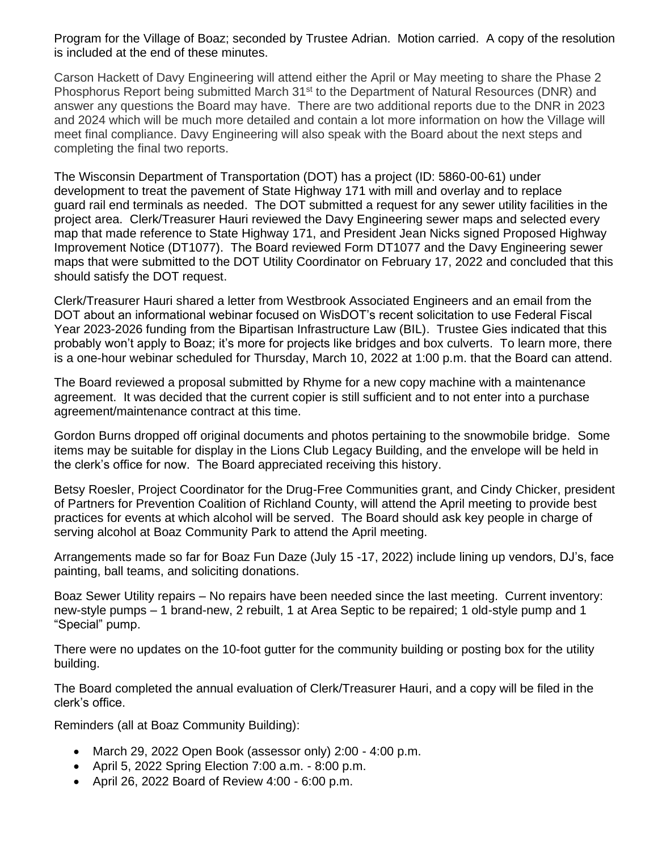Program for the Village of Boaz; seconded by Trustee Adrian. Motion carried. A copy of the resolution is included at the end of these minutes.

Carson Hackett of Davy Engineering will attend either the April or May meeting to share the Phase 2 Phosphorus Report being submitted March 31<sup>st</sup> to the Department of Natural Resources (DNR) and answer any questions the Board may have. There are two additional reports due to the DNR in 2023 and 2024 which will be much more detailed and contain a lot more information on how the Village will meet final compliance. Davy Engineering will also speak with the Board about the next steps and completing the final two reports.

The Wisconsin Department of Transportation (DOT) has a project (ID: 5860-00-61) under development to treat the pavement of State Highway 171 with mill and overlay and to replace guard rail end terminals as needed. The DOT submitted a request for any sewer utility facilities in the project area. Clerk/Treasurer Hauri reviewed the Davy Engineering sewer maps and selected every map that made reference to State Highway 171, and President Jean Nicks signed Proposed Highway Improvement Notice (DT1077). The Board reviewed Form DT1077 and the Davy Engineering sewer maps that were submitted to the DOT Utility Coordinator on February 17, 2022 and concluded that this should satisfy the DOT request.

Clerk/Treasurer Hauri shared a letter from Westbrook Associated Engineers and an email from the DOT about an informational webinar focused on WisDOT's recent solicitation to use Federal Fiscal Year 2023-2026 funding from the Bipartisan Infrastructure Law (BIL). Trustee Gies indicated that this probably won't apply to Boaz; it's more for projects like bridges and box culverts. To learn more, there is a one-hour webinar scheduled for Thursday, March 10, 2022 at 1:00 p.m. that the Board can attend.

The Board reviewed a proposal submitted by Rhyme for a new copy machine with a maintenance agreement. It was decided that the current copier is still sufficient and to not enter into a purchase agreement/maintenance contract at this time.

Gordon Burns dropped off original documents and photos pertaining to the snowmobile bridge. Some items may be suitable for display in the Lions Club Legacy Building, and the envelope will be held in the clerk's office for now. The Board appreciated receiving this history.

Betsy Roesler, Project Coordinator for the Drug-Free Communities grant, and Cindy Chicker, president of Partners for Prevention Coalition of Richland County, will attend the April meeting to provide best practices for events at which alcohol will be served. The Board should ask key people in charge of serving alcohol at Boaz Community Park to attend the April meeting.

Arrangements made so far for Boaz Fun Daze (July 15 -17, 2022) include lining up vendors, DJ's, face painting, ball teams, and soliciting donations.

Boaz Sewer Utility repairs – No repairs have been needed since the last meeting. Current inventory: new-style pumps – 1 brand-new, 2 rebuilt, 1 at Area Septic to be repaired; 1 old-style pump and 1 "Special" pump.

There were no updates on the 10-foot gutter for the community building or posting box for the utility building.

The Board completed the annual evaluation of Clerk/Treasurer Hauri, and a copy will be filed in the clerk's office.

Reminders (all at Boaz Community Building):

- March 29, 2022 Open Book (assessor only) 2:00 4:00 p.m.
- April 5, 2022 Spring Election 7:00 a.m. 8:00 p.m.
- April 26, 2022 Board of Review 4:00 6:00 p.m.